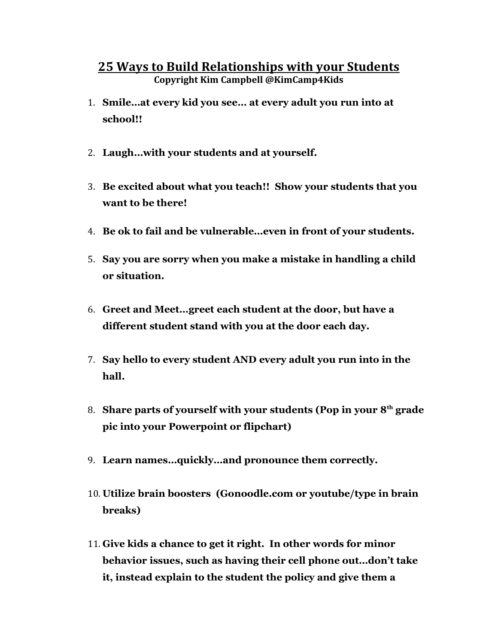## 25 Ways to Build Relationships with your Students Copyright Kim Campbell @KimCamp4Kids

- 1. Smile…at every kid you see… at every adult you run into at school!!
- 2. Laugh…with your students and at yourself.
- 3. Be excited about what you teach!! Show your students that you want to be there!
- 4. Be ok to fail and be vulnerable…even in front of your students.
- 5. Say you are sorry when you make a mistake in handling a child or situation.
- 6. Greet and Meet…greet each student at the door, but have a different student stand with you at the door each day.
- 7. Say hello to every student AND every adult you run into in the hall.
- 8. Share parts of yourself with your students (Pop in your  $8<sup>th</sup>$  grade pic into your Powerpoint or flipchart)
- 9. Learn names…quickly…and pronounce them correctly.
- 10. Utilize brain boosters (Gonoodle.com or youtube/type in brain breaks)
- 11. Give kids a chance to get it right. In other words for minor behavior issues, such as having their cell phone out…don't take it, instead explain to the student the policy and give them a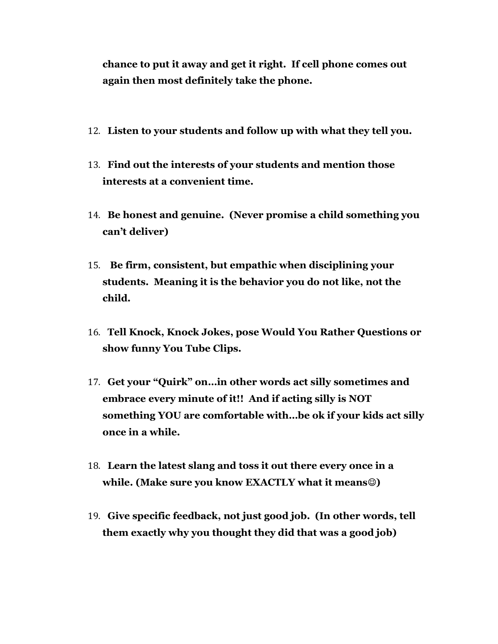chance to put it away and get it right. If cell phone comes out again then most definitely take the phone.

- 12. Listen to your students and follow up with what they tell you.
- 13. Find out the interests of your students and mention those interests at a convenient time.
- 14. Be honest and genuine. (Never promise a child something you can't deliver)
- 15. Be firm, consistent, but empathic when disciplining your students. Meaning it is the behavior you do not like, not the child.
- 16. Tell Knock, Knock Jokes, pose Would You Rather Questions or show funny You Tube Clips.
- 17. Get your "Quirk" on…in other words act silly sometimes and embrace every minute of it!! And if acting silly is NOT something YOU are comfortable with…be ok if your kids act silly once in a while.
- 18. Learn the latest slang and toss it out there every once in a while. (Make sure you know EXACTLY what it means $\circledcirc$ )
- 19. Give specific feedback, not just good job. (In other words, tell them exactly why you thought they did that was a good job)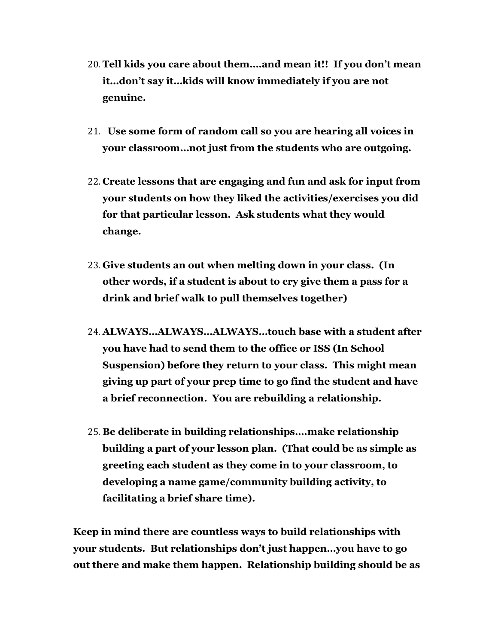- 20. Tell kids you care about them….and mean it!! If you don't mean it…don't say it…kids will know immediately if you are not genuine.
- 21. Use some form of random call so you are hearing all voices in your classroom…not just from the students who are outgoing.
- 22. Create lessons that are engaging and fun and ask for input from your students on how they liked the activities/exercises you did for that particular lesson. Ask students what they would change.
- 23. Give students an out when melting down in your class. (In other words, if a student is about to cry give them a pass for a drink and brief walk to pull themselves together)
- 24. ALWAYS…ALWAYS…ALWAYS…touch base with a student after you have had to send them to the office or ISS (In School Suspension) before they return to your class. This might mean giving up part of your prep time to go find the student and have a brief reconnection. You are rebuilding a relationship.
- 25. Be deliberate in building relationships….make relationship building a part of your lesson plan. (That could be as simple as greeting each student as they come in to your classroom, to developing a name game/community building activity, to facilitating a brief share time).

Keep in mind there are countless ways to build relationships with your students. But relationships don't just happen…you have to go out there and make them happen. Relationship building should be as